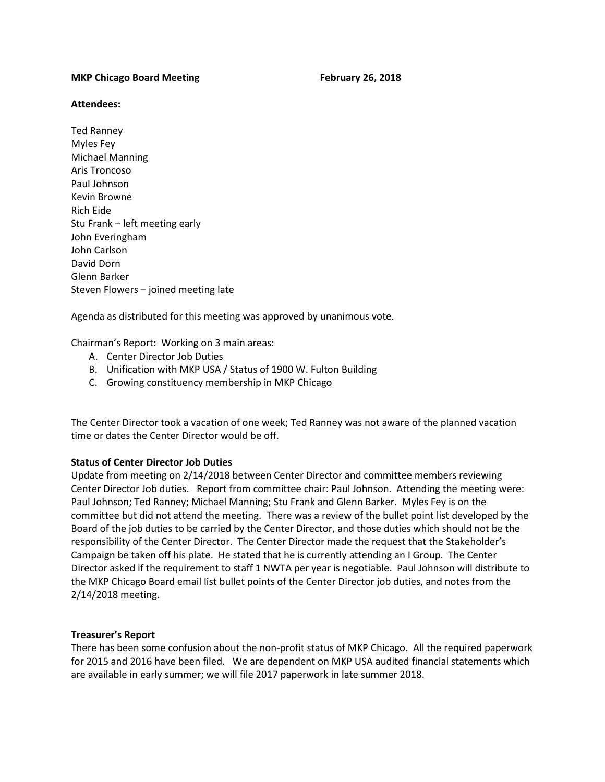# **MKP Chicago Board Meeting The Chicago Board Meeting The Chicago Board Meeting The Chicago Board Board Board Board Board Board Board Board Board Board Board Board Board Board Board Board Board Board Board Board Board Board**

# **Attendees:**

Ted Ranney Myles Fey Michael Manning Aris Troncoso Paul Johnson Kevin Browne Rich Eide Stu Frank – left meeting early John Everingham John Carlson David Dorn Glenn Barker Steven Flowers – joined meeting late

Agenda as distributed for this meeting was approved by unanimous vote.

Chairman's Report: Working on 3 main areas:

- A. Center Director Job Duties
- B. Unification with MKP USA / Status of 1900 W. Fulton Building
- C. Growing constituency membership in MKP Chicago

The Center Director took a vacation of one week; Ted Ranney was not aware of the planned vacation time or dates the Center Director would be off.

# **Status of Center Director Job Duties**

Update from meeting on 2/14/2018 between Center Director and committee members reviewing Center Director Job duties. Report from committee chair: Paul Johnson. Attending the meeting were: Paul Johnson; Ted Ranney; Michael Manning; Stu Frank and Glenn Barker. Myles Fey is on the committee but did not attend the meeting. There was a review of the bullet point list developed by the Board of the job duties to be carried by the Center Director, and those duties which should not be the responsibility of the Center Director. The Center Director made the request that the Stakeholder's Campaign be taken off his plate. He stated that he is currently attending an I Group. The Center Director asked if the requirement to staff 1 NWTA per year is negotiable. Paul Johnson will distribute to the MKP Chicago Board email list bullet points of the Center Director job duties, and notes from the 2/14/2018 meeting.

# **Treasurer's Report**

There has been some confusion about the non-profit status of MKP Chicago. All the required paperwork for 2015 and 2016 have been filed. We are dependent on MKP USA audited financial statements which are available in early summer; we will file 2017 paperwork in late summer 2018.